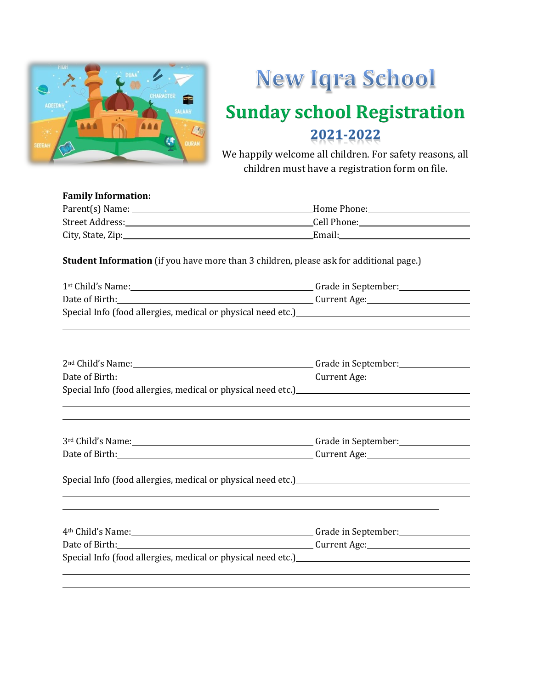

## New Iqra School **Sunday school Registration** 2021-2022

We happily welcome all children. For safety reasons, all children must have a registration form on file.

#### **Family Information:** Parent(s) Name: Home Phone: Street Address: Cell Phone: City, State, Zip: Email:

**Student Information** (if you have more than 3 children, please ask for additional page.)

| 1st Child's Name: 15t Child's Name: 15t Child's Name: 15t Child's Name: 15t Child's Name: 15th Child                                                                                                 |  |  |  |  |
|------------------------------------------------------------------------------------------------------------------------------------------------------------------------------------------------------|--|--|--|--|
|                                                                                                                                                                                                      |  |  |  |  |
| Special Info (food allergies, medical or physical need etc.)<br><u>Special Info (food allergies, medical or physical need etc.)</u>                                                                  |  |  |  |  |
|                                                                                                                                                                                                      |  |  |  |  |
| 2 <sup>nd</sup> Child's Name: 2 <sup>nd</sup> Child's Name: 2 <sup>nd</sup> Child's Name:                                                                                                            |  |  |  |  |
|                                                                                                                                                                                                      |  |  |  |  |
|                                                                                                                                                                                                      |  |  |  |  |
|                                                                                                                                                                                                      |  |  |  |  |
|                                                                                                                                                                                                      |  |  |  |  |
| Special Info (food allergies, medical or physical need etc.)<br>Special Info (food allergies, medical or physical need etc.)<br><u>Special Info (food allergies</u> , medical or physical need etc.) |  |  |  |  |
|                                                                                                                                                                                                      |  |  |  |  |
| 4 <sup>th</sup> Child's Name: <u>New York: Child's Name:</u> Grade in September: New York: 2014                                                                                                      |  |  |  |  |
|                                                                                                                                                                                                      |  |  |  |  |
| Special Info (food allergies, medical or physical need etc.)<br>Special Info (food allergies, medical or physical need etc.)<br><u>Special Info</u>                                                  |  |  |  |  |
|                                                                                                                                                                                                      |  |  |  |  |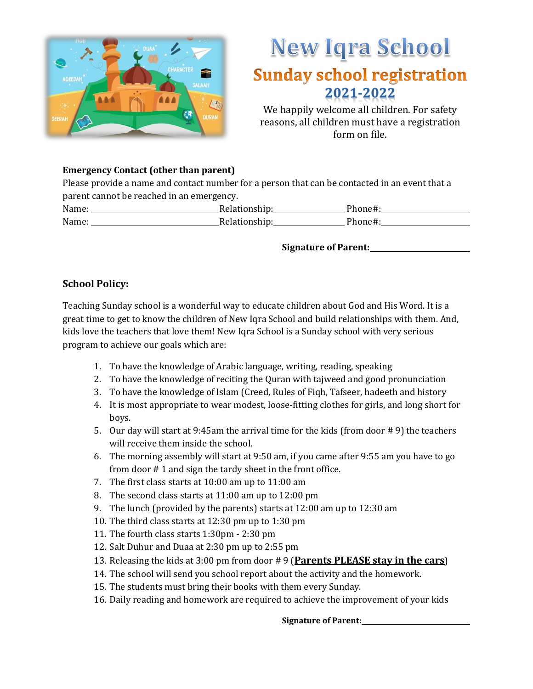

## New Iqra School **Sunday school registration** 2021-2022

We happily welcome all children. For safety reasons, all children must have a registration form on file.

#### **Emergency Contact (other than parent)**

Please provide a name and contact number for a person that can be contacted in an event that a parent cannot be reached in an emergency.

| Name: | Relationship: | Phone#: |
|-------|---------------|---------|
| Name: | Relationship: | Phone#: |

**Signature of Parent:**

#### **School Policy:**

Teaching Sunday school is a wonderful way to educate children about God and His Word. It is a great time to get to know the children of New Iqra School and build relationships with them. And, kids love the teachers that love them! New Iqra School is a Sunday school with very serious program to achieve our goals which are:

- 1. To have the knowledge of Arabic language, writing, reading, speaking
- 2. To have the knowledge of reciting the Quran with tajweed and good pronunciation
- 3. To have the knowledge of Islam (Creed, Rules of Fiqh, Tafseer, hadeeth and history
- 4. It is most appropriate to wear modest, loose-fitting clothes for girls, and long short for boys.
- 5. Our day will start at 9:45am the arrival time for the kids (from door #9) the teachers will receive them inside the school.
- 6. The morning assembly will start at 9:50 am, if you came after 9:55 am you have to go from door # 1 and sign the tardy sheet in the front office.
- 7. The first class starts at 10:00 am up to 11:00 am
- 8. The second class starts at 11:00 am up to 12:00 pm
- 9. The lunch (provided by the parents) starts at 12:00 am up to 12:30 am
- 10. The third class starts at 12:30 pm up to 1:30 pm
- 11. The fourth class starts 1:30pm 2:30 pm
- 12. Salt Duhur and Duaa at 2:30 pm up to 2:55 pm
- 13. Releasing the kids at 3:00 pm from door # 9 (**Parents PLEASE stay in the cars**)
- 14. The school will send you school report about the activity and the homework.
- 15. The students must bring their books with them every Sunday.
- 16. Daily reading and homework are required to achieve the improvement of your kids

**Signature of Parent:**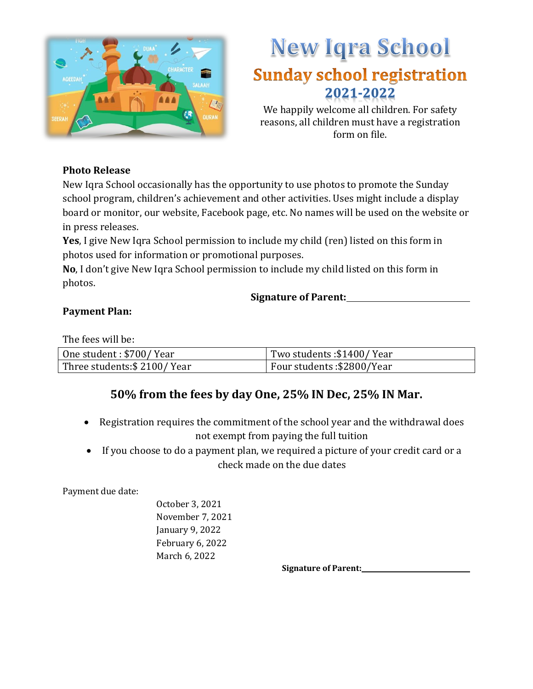

### New Iqra School **Sunday school registration** 2021-2022

We happily welcome all children. For safety reasons, all children must have a registration form on file.

#### **Photo Release**

New Iqra School occasionally has the opportunity to use photos to promote the Sunday school program, children's achievement and other activities. Uses might include a display board or monitor, our website, Facebook page, etc. No names will be used on the website or in press releases.

**Yes**, I give New Iqra School permission to include my child (ren) listed on this form in photos used for information or promotional purposes.

**No**, I don't give New Iqra School permission to include my child listed on this form in photos.

**Signature of Parent:**

#### **Payment Plan:**

The fees will be:

| One student: \$700/Year     | Two students: \$1400/Year  |
|-----------------------------|----------------------------|
| Three students: \$2100/Year | Four students: \$2800/Year |

#### **50% from the fees by day One, 25% IN Dec, 25% IN Mar.**

- Registration requires the commitment of the school year and the withdrawal does not exempt from paying the full tuition
- If you choose to do a payment plan, we required a picture of your credit card or a check made on the due dates

Payment due date:

October 3, 2021 November 7, 2021 January 9, 2022 February 6, 2022 March 6, 2022

**Signature of Parent:**